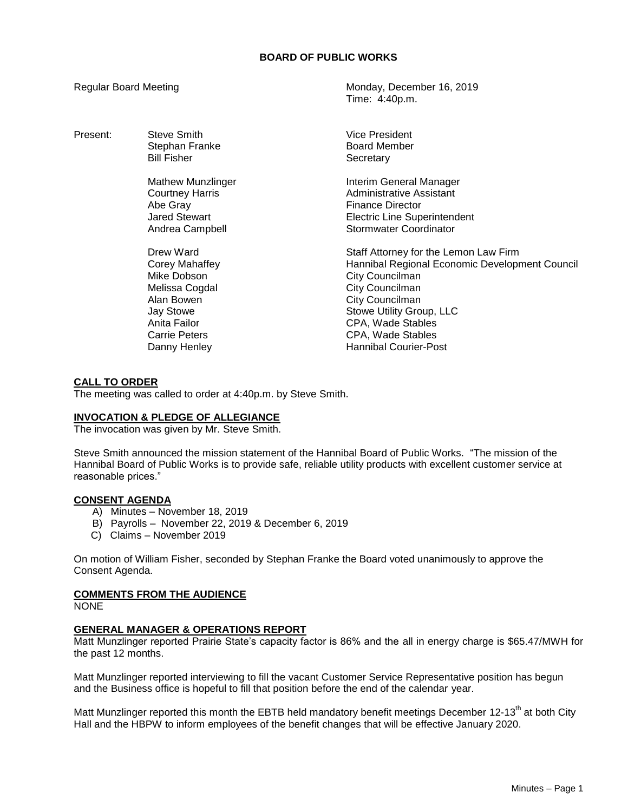Present: Steve Smith Vice President

Abe Gray **Finance Director** 

Regular Board Meeting Monday, December 16, 2019 Time: 4:40p.m.

> Stephan Franke Board Member<br>Bill Fisher Bill Board Member<br>Bill Fisher Secretary

Mathew Munzlinger **Interim General Manager** Courtney Harris **Administrative Assistant** Jared Stewart Electric Line Superintendent Andrea Campbell **Stormwater Coordinator** 

Drew Ward **Staff Attorney for the Lemon Law Firm** Corey Mahaffey Hannibal Regional Economic Development Council Mike Dobson **City Councilman** Melissa Cogdal **City Councilman** Alan Bowen **City Councilman** Jay Stowe **Stowe Stowe Utility Group, LLC** Anita Failor CPA, Wade Stables CPA, Wade Stables Danny Henley **Hannibal Courier-Post** 

# **CALL TO ORDER**

The meeting was called to order at 4:40p.m. by Steve Smith.

# **INVOCATION & PLEDGE OF ALLEGIANCE**

The invocation was given by Mr. Steve Smith.

Steve Smith announced the mission statement of the Hannibal Board of Public Works. "The mission of the Hannibal Board of Public Works is to provide safe, reliable utility products with excellent customer service at reasonable prices."

## **CONSENT AGENDA**

- A) Minutes November 18, 2019
- B) Payrolls November 22, 2019 & December 6, 2019
- C) Claims November 2019

On motion of William Fisher, seconded by Stephan Franke the Board voted unanimously to approve the Consent Agenda.

## **COMMENTS FROM THE AUDIENCE**

NONE

## **GENERAL MANAGER & OPERATIONS REPORT**

Matt Munzlinger reported Prairie State's capacity factor is 86% and the all in energy charge is \$65.47/MWH for the past 12 months.

Matt Munzlinger reported interviewing to fill the vacant Customer Service Representative position has begun and the Business office is hopeful to fill that position before the end of the calendar year.

Matt Munzlinger reported this month the EBTB held mandatory benefit meetings December 12-13<sup>th</sup> at both City Hall and the HBPW to inform employees of the benefit changes that will be effective January 2020.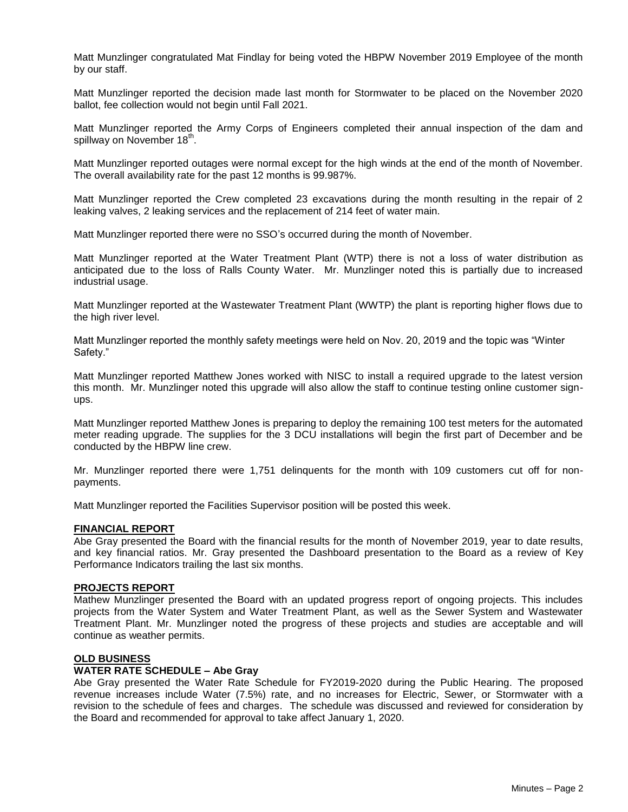Matt Munzlinger congratulated Mat Findlay for being voted the HBPW November 2019 Employee of the month by our staff.

Matt Munzlinger reported the decision made last month for Stormwater to be placed on the November 2020 ballot, fee collection would not begin until Fall 2021.

Matt Munzlinger reported the Army Corps of Engineers completed their annual inspection of the dam and spillway on November 18<sup>th</sup>.

Matt Munzlinger reported outages were normal except for the high winds at the end of the month of November. The overall availability rate for the past 12 months is 99.987%.

Matt Munzlinger reported the Crew completed 23 excavations during the month resulting in the repair of 2 leaking valves, 2 leaking services and the replacement of 214 feet of water main.

Matt Munzlinger reported there were no SSO's occurred during the month of November.

Matt Munzlinger reported at the Water Treatment Plant (WTP) there is not a loss of water distribution as anticipated due to the loss of Ralls County Water. Mr. Munzlinger noted this is partially due to increased industrial usage.

Matt Munzlinger reported at the Wastewater Treatment Plant (WWTP) the plant is reporting higher flows due to the high river level.

Matt Munzlinger reported the monthly safety meetings were held on Nov. 20, 2019 and the topic was "Winter Safety."

Matt Munzlinger reported Matthew Jones worked with NISC to install a required upgrade to the latest version this month. Mr. Munzlinger noted this upgrade will also allow the staff to continue testing online customer signups.

Matt Munzlinger reported Matthew Jones is preparing to deploy the remaining 100 test meters for the automated meter reading upgrade. The supplies for the 3 DCU installations will begin the first part of December and be conducted by the HBPW line crew.

Mr. Munzlinger reported there were 1,751 delinquents for the month with 109 customers cut off for nonpayments.

Matt Munzlinger reported the Facilities Supervisor position will be posted this week.

#### **FINANCIAL REPORT**

Abe Gray presented the Board with the financial results for the month of November 2019, year to date results, and key financial ratios. Mr. Gray presented the Dashboard presentation to the Board as a review of Key Performance Indicators trailing the last six months.

## **PROJECTS REPORT**

Mathew Munzlinger presented the Board with an updated progress report of ongoing projects. This includes projects from the Water System and Water Treatment Plant, as well as the Sewer System and Wastewater Treatment Plant. Mr. Munzlinger noted the progress of these projects and studies are acceptable and will continue as weather permits.

### **OLD BUSINESS**

### **WATER RATE SCHEDULE – Abe Gray**

Abe Gray presented the Water Rate Schedule for FY2019-2020 during the Public Hearing. The proposed revenue increases include Water (7.5%) rate, and no increases for Electric, Sewer, or Stormwater with a revision to the schedule of fees and charges. The schedule was discussed and reviewed for consideration by the Board and recommended for approval to take affect January 1, 2020.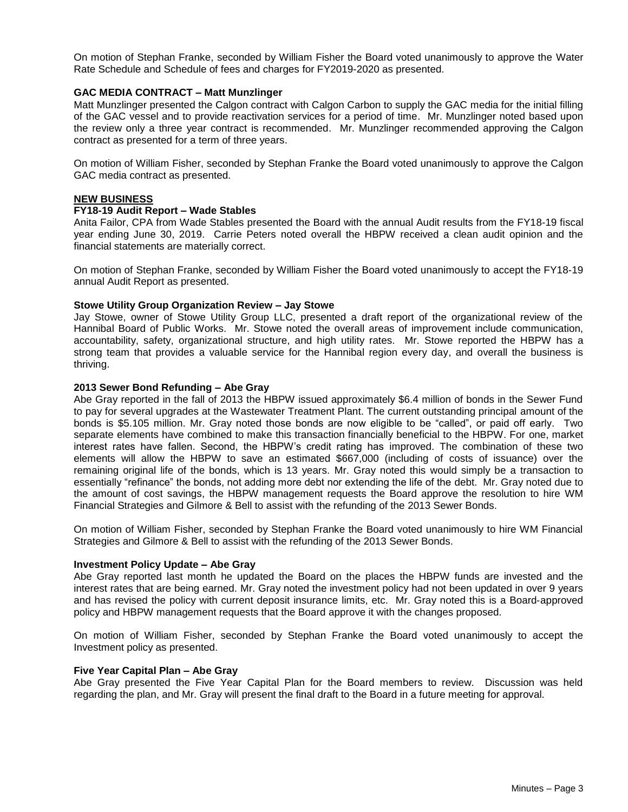On motion of Stephan Franke, seconded by William Fisher the Board voted unanimously to approve the Water Rate Schedule and Schedule of fees and charges for FY2019-2020 as presented.

### **GAC MEDIA CONTRACT – Matt Munzlinger**

Matt Munzlinger presented the Calgon contract with Calgon Carbon to supply the GAC media for the initial filling of the GAC vessel and to provide reactivation services for a period of time. Mr. Munzlinger noted based upon the review only a three year contract is recommended. Mr. Munzlinger recommended approving the Calgon contract as presented for a term of three years.

On motion of William Fisher, seconded by Stephan Franke the Board voted unanimously to approve the Calgon GAC media contract as presented.

#### **NEW BUSINESS**

### **FY18-19 Audit Report – Wade Stables**

Anita Failor, CPA from Wade Stables presented the Board with the annual Audit results from the FY18-19 fiscal year ending June 30, 2019. Carrie Peters noted overall the HBPW received a clean audit opinion and the financial statements are materially correct.

On motion of Stephan Franke, seconded by William Fisher the Board voted unanimously to accept the FY18-19 annual Audit Report as presented.

### **Stowe Utility Group Organization Review – Jay Stowe**

Jay Stowe, owner of Stowe Utility Group LLC, presented a draft report of the organizational review of the Hannibal Board of Public Works. Mr. Stowe noted the overall areas of improvement include communication, accountability, safety, organizational structure, and high utility rates. Mr. Stowe reported the HBPW has a strong team that provides a valuable service for the Hannibal region every day, and overall the business is thriving.

#### **2013 Sewer Bond Refunding – Abe Gray**

Abe Gray reported in the fall of 2013 the HBPW issued approximately \$6.4 million of bonds in the Sewer Fund to pay for several upgrades at the Wastewater Treatment Plant. The current outstanding principal amount of the bonds is \$5.105 million. Mr. Gray noted those bonds are now eligible to be "called", or paid off early. Two separate elements have combined to make this transaction financially beneficial to the HBPW. For one, market interest rates have fallen. Second, the HBPW's credit rating has improved. The combination of these two elements will allow the HBPW to save an estimated \$667,000 (including of costs of issuance) over the remaining original life of the bonds, which is 13 years. Mr. Gray noted this would simply be a transaction to essentially "refinance" the bonds, not adding more debt nor extending the life of the debt. Mr. Gray noted due to the amount of cost savings, the HBPW management requests the Board approve the resolution to hire WM Financial Strategies and Gilmore & Bell to assist with the refunding of the 2013 Sewer Bonds.

On motion of William Fisher, seconded by Stephan Franke the Board voted unanimously to hire WM Financial Strategies and Gilmore & Bell to assist with the refunding of the 2013 Sewer Bonds.

## **Investment Policy Update – Abe Gray**

Abe Gray reported last month he updated the Board on the places the HBPW funds are invested and the interest rates that are being earned. Mr. Gray noted the investment policy had not been updated in over 9 years and has revised the policy with current deposit insurance limits, etc. Mr. Gray noted this is a Board‐approved policy and HBPW management requests that the Board approve it with the changes proposed.

On motion of William Fisher, seconded by Stephan Franke the Board voted unanimously to accept the Investment policy as presented.

#### **Five Year Capital Plan – Abe Gray**

Abe Gray presented the Five Year Capital Plan for the Board members to review. Discussion was held regarding the plan, and Mr. Gray will present the final draft to the Board in a future meeting for approval.